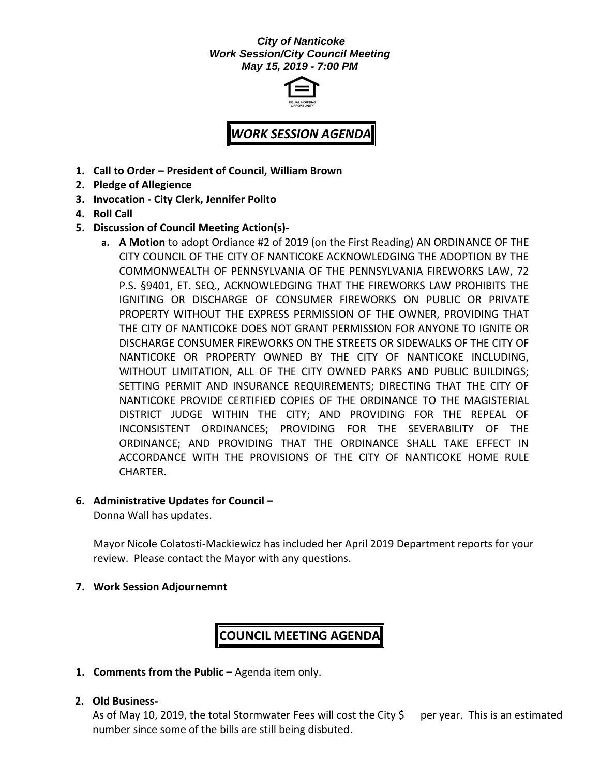#### *City of Nanticoke Work Session/City Council Meeting May 15, 2019 - 7:00 PM*



# *WORK SESSION AGENDA*

- **1. Call to Order – President of Council, William Brown**
- **2. Pledge of Allegience**
- **3. Invocation - City Clerk, Jennifer Polito**
- **4. Roll Call**
- **5. Discussion of Council Meeting Action(s)**
	- **a. A Motion** to adopt Ordiance #2 of 2019 (on the First Reading) AN ORDINANCE OF THE CITY COUNCIL OF THE CITY OF NANTICOKE ACKNOWLEDGING THE ADOPTION BY THE COMMONWEALTH OF PENNSYLVANIA OF THE PENNSYLVANIA FIREWORKS LAW, 72 P.S. §9401, ET. SEQ., ACKNOWLEDGING THAT THE FIREWORKS LAW PROHIBITS THE IGNITING OR DISCHARGE OF CONSUMER FIREWORKS ON PUBLIC OR PRIVATE PROPERTY WITHOUT THE EXPRESS PERMISSION OF THE OWNER, PROVIDING THAT THE CITY OF NANTICOKE DOES NOT GRANT PERMISSION FOR ANYONE TO IGNITE OR DISCHARGE CONSUMER FIREWORKS ON THE STREETS OR SIDEWALKS OF THE CITY OF NANTICOKE OR PROPERTY OWNED BY THE CITY OF NANTICOKE INCLUDING, WITHOUT LIMITATION, ALL OF THE CITY OWNED PARKS AND PUBLIC BUILDINGS; SETTING PERMIT AND INSURANCE REQUIREMENTS; DIRECTING THAT THE CITY OF NANTICOKE PROVIDE CERTIFIED COPIES OF THE ORDINANCE TO THE MAGISTERIAL DISTRICT JUDGE WITHIN THE CITY; AND PROVIDING FOR THE REPEAL OF INCONSISTENT ORDINANCES; PROVIDING FOR THE SEVERABILITY OF THE ORDINANCE; AND PROVIDING THAT THE ORDINANCE SHALL TAKE EFFECT IN ACCORDANCE WITH THE PROVISIONS OF THE CITY OF NANTICOKE HOME RULE CHARTER**.**

#### **6. Administrative Updates for Council –**

Donna Wall has updates.

Mayor Nicole Colatosti-Mackiewicz has included her April 2019 Department reports for your review. Please contact the Mayor with any questions.

#### **7. Work Session Adjournemnt**

## **COUNCIL MEETING AGENDA**

**1. Comments from the Public –** Agenda item only.

#### **2. Old Business-**

As of May 10, 2019, the total Stormwater Fees will cost the City  $\zeta$  per year. This is an estimated number since some of the bills are still being disbuted.